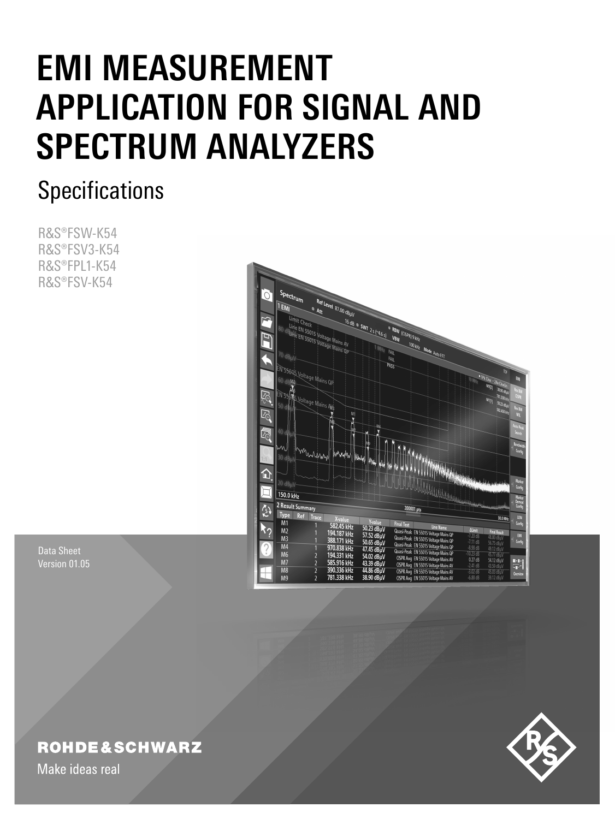# **EMI MEASUREMENT APPLICATION FOR SIGNAL AND SPECTRUM ANALYZERS**

## **Specifications**

R&S®FSW-K54 R&S®FSV3-K54 R&S®FPL1-K54 R&S®FSV-K54



Data Sheet Version 01.05

### **ROHDE&SCHWARZ**

Make ideas real

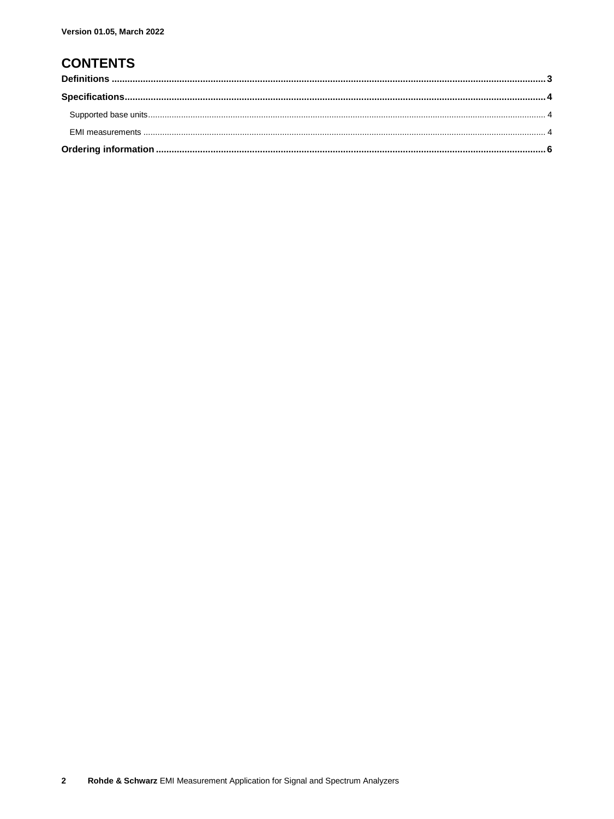### **CONTENTS**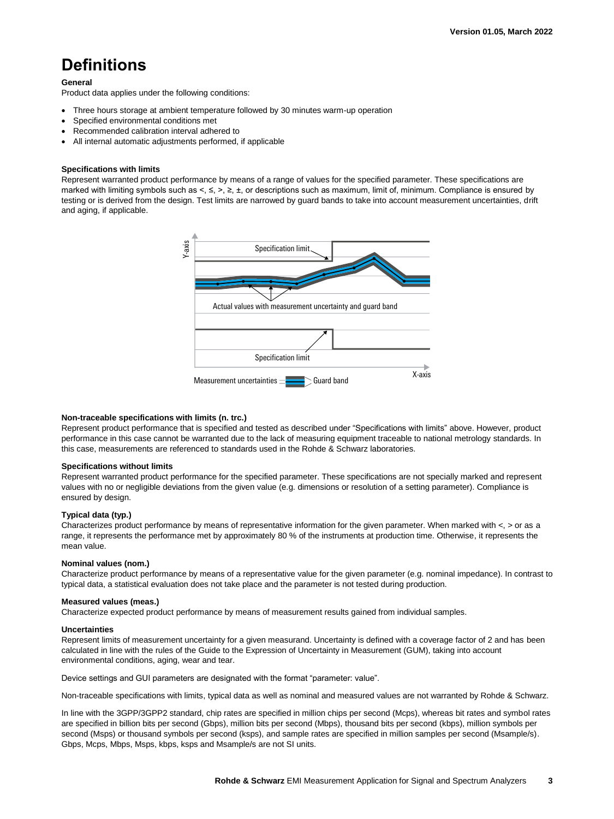### <span id="page-2-0"></span>**Definitions**

### **General**

Product data applies under the following conditions:

- Three hours storage at ambient temperature followed by 30 minutes warm-up operation
- Specified environmental conditions met
- Recommended calibration interval adhered to
- All internal automatic adjustments performed, if applicable

### **Specifications with limits**

Represent warranted product performance by means of a range of values for the specified parameter. These specifications are marked with limiting symbols such as <, ≤, >, ≥, ±, or descriptions such as maximum, limit of, minimum. Compliance is ensured by testing or is derived from the design. Test limits are narrowed by guard bands to take into account measurement uncertainties, drift and aging, if applicable.



### **Non-traceable specifications with limits (n. trc.)**

Represent product performance that is specified and tested as described under "Specifications with limits" above. However, product performance in this case cannot be warranted due to the lack of measuring equipment traceable to national metrology standards. In this case, measurements are referenced to standards used in the Rohde & Schwarz laboratories.

### **Specifications without limits**

Represent warranted product performance for the specified parameter. These specifications are not specially marked and represent values with no or negligible deviations from the given value (e.g. dimensions or resolution of a setting parameter). Compliance is ensured by design.

### **Typical data (typ.)**

Characterizes product performance by means of representative information for the given parameter. When marked with  $\lt$ ,  $>$  or as a range, it represents the performance met by approximately 80 % of the instruments at production time. Otherwise, it represents the mean value.

### **Nominal values (nom.)**

Characterize product performance by means of a representative value for the given parameter (e.g. nominal impedance). In contrast to typical data, a statistical evaluation does not take place and the parameter is not tested during production.

### **Measured values (meas.)**

Characterize expected product performance by means of measurement results gained from individual samples.

### **Uncertainties**

Represent limits of measurement uncertainty for a given measurand. Uncertainty is defined with a coverage factor of 2 and has been calculated in line with the rules of the Guide to the Expression of Uncertainty in Measurement (GUM), taking into account environmental conditions, aging, wear and tear.

Device settings and GUI parameters are designated with the format "parameter: value".

Non-traceable specifications with limits, typical data as well as nominal and measured values are not warranted by Rohde & Schwarz.

In line with the 3GPP/3GPP2 standard, chip rates are specified in million chips per second (Mcps), whereas bit rates and symbol rates are specified in billion bits per second (Gbps), million bits per second (Mbps), thousand bits per second (kbps), million symbols per second (Msps) or thousand symbols per second (ksps), and sample rates are specified in million samples per second (Msample/s). Gbps, Mcps, Mbps, Msps, kbps, ksps and Msample/s are not SI units.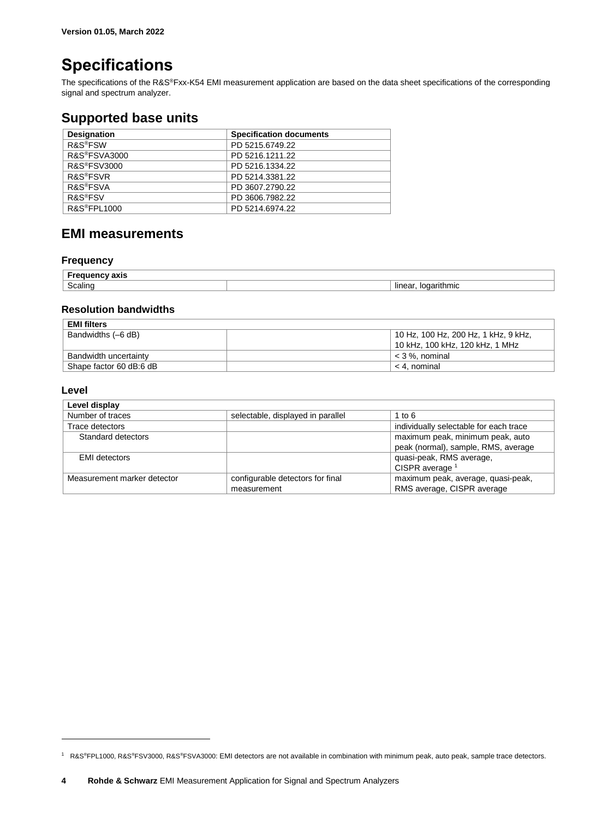### <span id="page-3-0"></span>**Specifications**

The specifications of the R&S®Fxx-K54 EMI measurement application are based on the data sheet specifications of the corresponding signal and spectrum analyzer.

### <span id="page-3-1"></span>**Supported base units**

| <b>Designation</b>        | <b>Specification documents</b> |
|---------------------------|--------------------------------|
| R&S <sup>®</sup> FSW      | PD 5215.6749.22                |
| R&S <sup>®</sup> FSVA3000 | PD 5216.1211.22                |
| R&S <sup>®</sup> FSV3000  | PD 5216.1334.22                |
| <b>R&amp;S®FSVR</b>       | PD 5214.3381.22                |
| R&S <sup>®</sup> FSVA     | PD 3607.2790.22                |
| R&S <sup>®</sup> FSV      | PD 3606.7982.22                |
| R&S <sup>®</sup> FPL1000  | PD 5214.6974.22                |

### <span id="page-3-2"></span>**EMI measurements**

### **Frequency**

| ахıэ                                     |                                |
|------------------------------------------|--------------------------------|
| . .<br>$\overline{\phantom{a}}$<br>alını | lın<br>ımıc<br>$\cdot$ $\cdot$ |

### **Resolution bandwidths**

| <b>EMI filters</b>      |                                      |
|-------------------------|--------------------------------------|
| Bandwidths (-6 dB)      | 10 Hz, 100 Hz, 200 Hz, 1 kHz, 9 kHz, |
|                         | 10 kHz, 100 kHz, 120 kHz, 1 MHz      |
| Bandwidth uncertainty   | $<$ 3 %. nominal                     |
| Shape factor 60 dB:6 dB | < 4. nominal                         |

### **Level**

 $\overline{a}$ 

| Level display               |                                                 |                                                                         |
|-----------------------------|-------------------------------------------------|-------------------------------------------------------------------------|
| Number of traces            | selectable, displayed in parallel               | 1 to $6$                                                                |
| Trace detectors             |                                                 | individually selectable for each trace                                  |
| Standard detectors          |                                                 | maximum peak, minimum peak, auto<br>peak (normal), sample, RMS, average |
| <b>EMI</b> detectors        |                                                 | quasi-peak, RMS average,<br>CISPR average <sup>1</sup>                  |
| Measurement marker detector | configurable detectors for final<br>measurement | maximum peak, average, quasi-peak,<br>RMS average, CISPR average        |

<sup>1</sup> R&S®FPL1000, R&S®FSV3000, R&S®FSVA3000: EMI detectors are not available in combination with minimum peak, auto peak, sample trace detectors.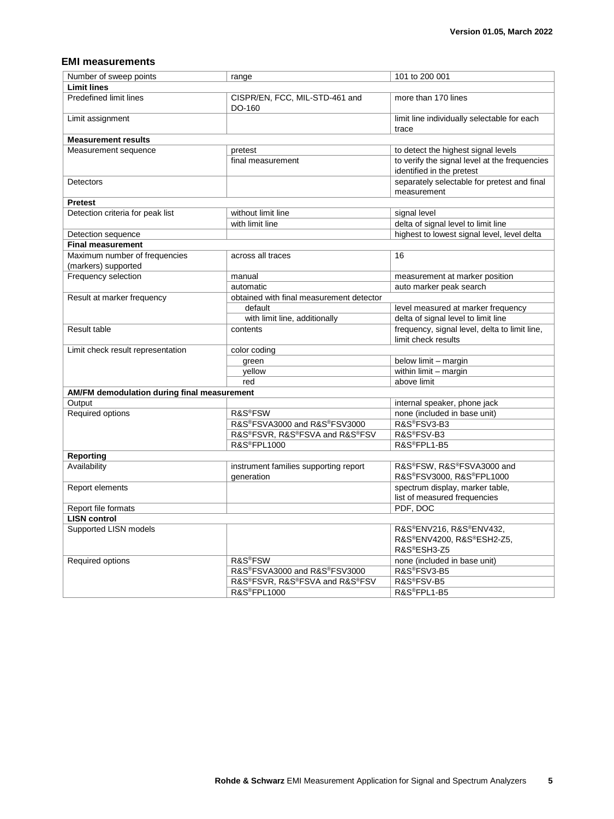### **EMI measurements**

| Number of sweep points                                                 | range                                               | 101 to 200 001                                                             |
|------------------------------------------------------------------------|-----------------------------------------------------|----------------------------------------------------------------------------|
| <b>Limit lines</b>                                                     |                                                     |                                                                            |
| Predefined limit lines                                                 | CISPR/EN, FCC, MIL-STD-461 and<br>DO-160            | more than 170 lines                                                        |
| Limit assignment                                                       |                                                     | limit line individually selectable for each<br>trace                       |
| <b>Measurement results</b>                                             |                                                     |                                                                            |
| Measurement sequence                                                   | pretest                                             | to detect the highest signal levels                                        |
|                                                                        | final measurement                                   | to verify the signal level at the frequencies<br>identified in the pretest |
| Detectors                                                              |                                                     | separately selectable for pretest and final<br>measurement                 |
| <b>Pretest</b>                                                         |                                                     |                                                                            |
| Detection criteria for peak list                                       | without limit line                                  | signal level                                                               |
|                                                                        | with limit line                                     | delta of signal level to limit line                                        |
| Detection sequence                                                     |                                                     | highest to lowest signal level, level delta                                |
| <b>Final measurement</b>                                               |                                                     |                                                                            |
| Maximum number of frequencies<br>(markers) supported                   | across all traces                                   | 16                                                                         |
| Frequency selection                                                    | manual                                              | measurement at marker position                                             |
|                                                                        | automatic                                           | auto marker peak search                                                    |
| Result at marker frequency<br>obtained with final measurement detector |                                                     |                                                                            |
|                                                                        | default                                             | level measured at marker frequency                                         |
|                                                                        | with limit line, additionally                       | delta of signal level to limit line                                        |
| Result table                                                           | contents                                            | frequency, signal level, delta to limit line,                              |
|                                                                        |                                                     | limit check results                                                        |
| Limit check result representation                                      | color coding                                        |                                                                            |
|                                                                        | green                                               | below limit - margin                                                       |
|                                                                        | yellow                                              | within limit - margin                                                      |
|                                                                        | red                                                 | above limit                                                                |
| AM/FM demodulation during final measurement                            |                                                     |                                                                            |
| Output                                                                 |                                                     | internal speaker, phone jack                                               |
| Required options                                                       | R&S <sup>®</sup> FSW                                | none (included in base unit)                                               |
|                                                                        | R&S®FSVA3000 and R&S®FSV3000                        | R&S®FSV3-B3                                                                |
|                                                                        | R&S®FSVR, R&S®FSVA and R&S®FSV                      | R&S®FSV-B3                                                                 |
|                                                                        | <b>R&amp;S®FPL1000</b>                              | R&S®FPL1-B5                                                                |
| <b>Reporting</b>                                                       |                                                     |                                                                            |
| Availability                                                           | instrument families supporting report<br>generation | R&S®FSW, R&S®FSVA3000 and<br>R&S®FSV3000, R&S®FPL1000                      |
| Report elements                                                        |                                                     | spectrum display, marker table,<br>list of measured frequencies            |
| Report file formats                                                    |                                                     | PDF, DOC                                                                   |
| <b>LISN control</b>                                                    |                                                     |                                                                            |
| Supported LISN models                                                  |                                                     | R&S®ENV216, R&S®ENV432,<br>R&S®ENV4200, R&S®ESH2-Z5,<br>R&S®ESH3-Z5        |
| Required options                                                       | R&S <sup>®</sup> FSW                                | none (included in base unit)                                               |
|                                                                        | R&S®FSVA3000 and R&S®FSV3000                        | R&S®FSV3-B5                                                                |
|                                                                        | R&S®FSVR. R&S®FSVA and R&S®FSV                      | R&S®FSV-B5                                                                 |
|                                                                        | <b>R&amp;S®FPL1000</b>                              | R&S®FPL1-B5                                                                |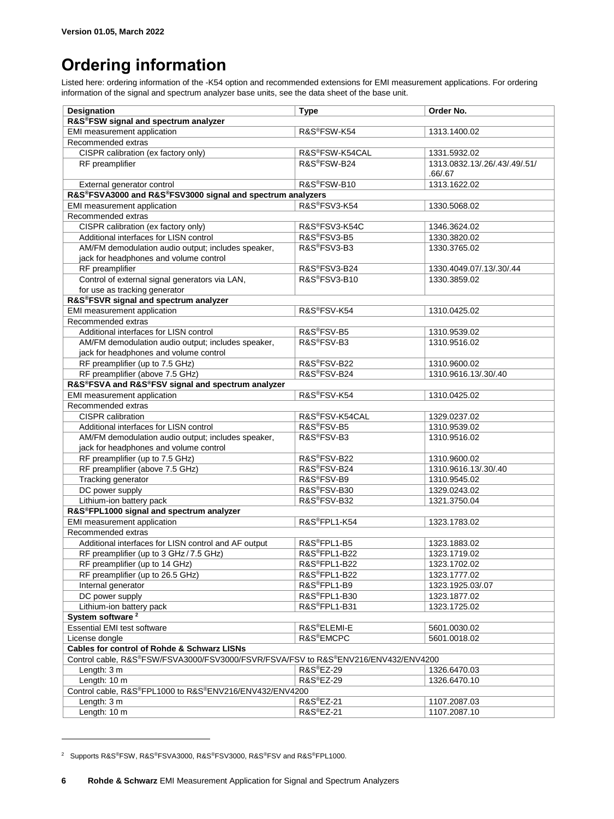## <span id="page-5-0"></span>**Ordering information**

Listed here: ordering information of the -K54 option and recommended extensions for EMI measurement applications. For ordering information of the signal and spectrum analyzer base units, see the data sheet of the base unit.

| <b>Designation</b>                                                                 | <b>Type</b>              | Order No.                     |
|------------------------------------------------------------------------------------|--------------------------|-------------------------------|
| R&S®FSW signal and spectrum analyzer                                               |                          |                               |
| EMI measurement application                                                        | R&S®FSW-K54              | 1313.1400.02                  |
| Recommended extras                                                                 |                          |                               |
| CISPR calibration (ex factory only)                                                | R&S®FSW-K54CAL           | 1331.5932.02                  |
| RF preamplifier                                                                    | R&S®FSW-B24              | 1313.0832.13/.26/.43/.49/.51/ |
|                                                                                    |                          | .66/.67                       |
| External generator control                                                         | R&S <sup>®</sup> FSW-B10 | 1313.1622.02                  |
| R&S®FSVA3000 and R&S®FSV3000 signal and spectrum analyzers                         |                          |                               |
| EMI measurement application                                                        | R&S®FSV3-K54             | 1330.5068.02                  |
| Recommended extras                                                                 |                          |                               |
| CISPR calibration (ex factory only)                                                | R&S®FSV3-K54C            | 1346.3624.02                  |
| Additional interfaces for LISN control                                             | R&S®FSV3-B5              | 1330.3820.02                  |
| AM/FM demodulation audio output; includes speaker,                                 | R&S®FSV3-B3              | 1330.3765.02                  |
| jack for headphones and volume control                                             |                          |                               |
| RF preamplifier                                                                    | R&S®FSV3-B24             | 1330.4049.07/.13/.30/.44      |
| Control of external signal generators via LAN,                                     | R&S®FSV3-B10             | 1330.3859.02                  |
| for use as tracking generator                                                      |                          |                               |
| R&S®FSVR signal and spectrum analyzer                                              |                          |                               |
| EMI measurement application                                                        | R&S®FSV-K54              | 1310.0425.02                  |
| Recommended extras                                                                 |                          |                               |
| Additional interfaces for LISN control                                             | R&S®FSV-B5               | 1310.9539.02                  |
| AM/FM demodulation audio output; includes speaker,                                 | R&S®FSV-B3               | 1310.9516.02                  |
| jack for headphones and volume control                                             |                          |                               |
| RF preamplifier (up to 7.5 GHz)                                                    | R&S®FSV-B22              | 1310.9600.02                  |
| RF preamplifier (above 7.5 GHz)                                                    | R&S®FSV-B24              | 1310.9616.13/.30/.40          |
| R&S®FSVA and R&S®FSV signal and spectrum analyzer                                  |                          |                               |
| EMI measurement application                                                        | R&S®FSV-K54              | 1310.0425.02                  |
| Recommended extras                                                                 |                          |                               |
| CISPR calibration                                                                  | R&S®FSV-K54CAL           | 1329.0237.02                  |
| Additional interfaces for LISN control                                             | R&S®FSV-B5               | 1310.9539.02                  |
| AM/FM demodulation audio output; includes speaker,                                 | R&S®FSV-B3               | 1310.9516.02                  |
| jack for headphones and volume control                                             |                          |                               |
| RF preamplifier (up to 7.5 GHz)                                                    | R&S®FSV-B22              | 1310.9600.02                  |
| RF preamplifier (above 7.5 GHz)                                                    | R&S®FSV-B24              | 1310.9616.13/.30/.40          |
| Tracking generator                                                                 | R&S®FSV-B9               | 1310.9545.02                  |
| DC power supply                                                                    | R&S®FSV-B30              | 1329.0243.02                  |
| Lithium-ion battery pack                                                           | R&S®FSV-B32              | 1321.3750.04                  |
| R&S®FPL1000 signal and spectrum analyzer                                           |                          |                               |
| EMI measurement application                                                        | R&S®FPL1-K54             | 1323.1783.02                  |
| Recommended extras                                                                 |                          |                               |
| Additional interfaces for LISN control and AF output                               | R&S®FPL1-B5              | 1323.1883.02                  |
| RF preamplifier (up to 3 GHz / 7.5 GHz)                                            | R&S®FPL1-B22             | 1323.1719.02                  |
| RF preamplifier (up to 14 GHz)                                                     | R&S®FPL1-B22             | 1323.1702.02                  |
| RF preamplifier (up to 26.5 GHz)                                                   | R&S®FPL1-B22             | 1323.1777.02                  |
| Internal generator                                                                 | R&S®FPL1-B9              | 1323.1925.03/.07              |
| DC power supply                                                                    | R&S®FPL1-B30             | 1323.1877.02                  |
| Lithium-ion battery pack                                                           | R&S®FPL1-B31             | 1323.1725.02                  |
| System software <sup>2</sup>                                                       |                          |                               |
| <b>Essential EMI test software</b>                                                 | R&S®ELEMI-E              | 5601.0030.02                  |
| License dongle                                                                     | R&S <sup>®</sup> EMCPC   | 5601.0018.02                  |
| <b>Cables for control of Rohde &amp; Schwarz LISNs</b>                             |                          |                               |
| Control cable, R&S®FSW/FSVA3000/FSV3000/FSVR/FSVA/FSV to R&S®ENV216/ENV432/ENV4200 |                          |                               |
| Length: 3 m                                                                        | R&S®EZ-29                | 1326.6470.03                  |
| Length: 10 m                                                                       | R&S <sup>®</sup> EZ-29   | 1326.6470.10                  |
| Control cable, R&S®FPL1000 to R&S®ENV216/ENV432/ENV4200                            |                          |                               |
| Length: 3 m                                                                        | R&S®EZ-21                | 1107.2087.03                  |
| Length: 10 m                                                                       | R&S <sup>®</sup> EZ-21   | 1107.2087.10                  |

<sup>2</sup> Supports R&S®FSW, R&S®FSVA3000, R&S®FSV3000, R&S®FSV and R&S®FPL1000.

 $\overline{a}$